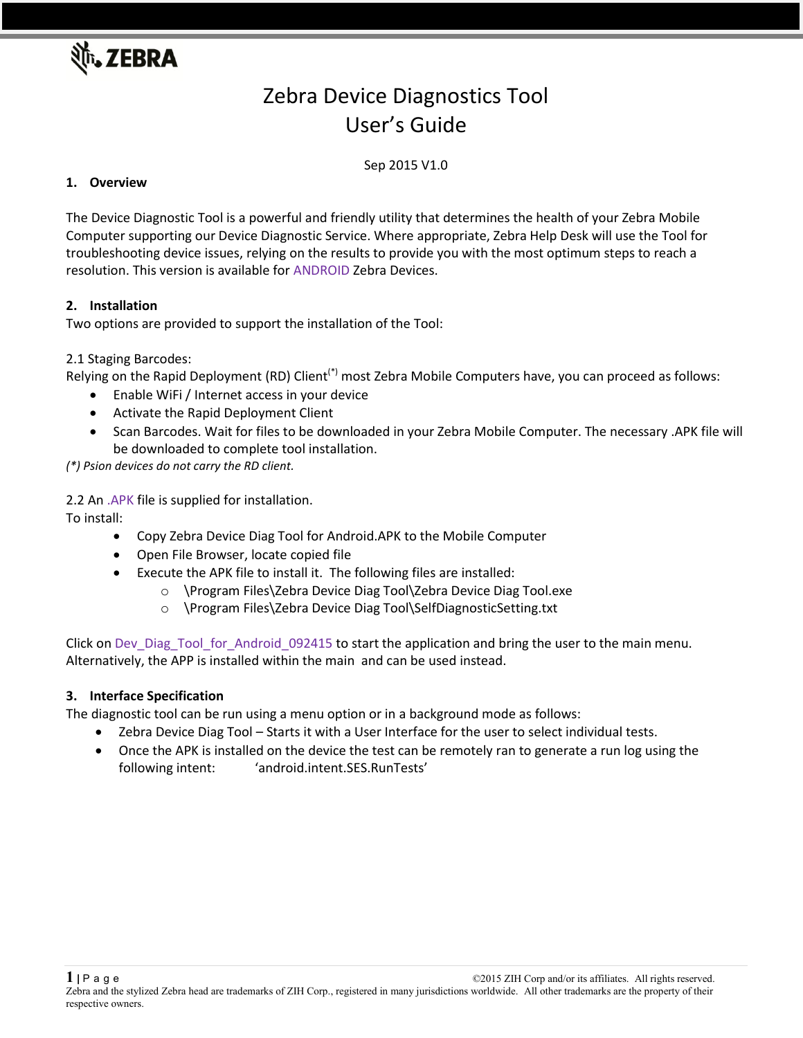

# Zebra Device Diagnostics Tool User's Guide

# Sep 2015 V1.0

# **1. Overview**

The Device Diagnostic Tool is a powerful and friendly utility that determines the health of your Zebra Mobile Computer supporting our Device Diagnostic Service. Where appropriate, Zebra Help Desk will use the Tool for troubleshooting device issues, relying on the results to provide you with the most optimum steps to reach a resolution. This version is available for ANDROID Zebra Devices.

# **2. Installation**

Two options are provided to support the installation of the Tool:

# 2.1 Staging Barcodes:

Relying on the Rapid Deployment (RD) Client<sup>(\*)</sup> most Zebra Mobile Computers have, you can proceed as follows:

- Enable WiFi / Internet access in your device
- Activate the Rapid Deployment Client
- Scan Barcodes. Wait for files to be downloaded in your Zebra Mobile Computer. The necessary .APK file will be downloaded to complete tool installation.

*(\*) Psion devices do not carry the RD client.*

2.2 An .APK file is supplied for installation.

To install:

- Copy Zebra Device Diag Tool for Android.APK to the Mobile Computer
- Open File Browser, locate copied file
- Execute the APK file to install it. The following files are installed:
	- o \Program Files\Zebra Device Diag Tool\Zebra Device Diag Tool.exe
	- o \Program Files\Zebra Device Diag Tool\SelfDiagnosticSetting.txt

Click on Dev\_Diag\_Tool\_for\_Android\_092415 to start the application and bring the user to the main menu. Alternatively, the APP is installed within the main and can be used instead.

#### **3. Interface Specification**

The diagnostic tool can be run using a menu option or in a background mode as follows:

- Zebra Device Diag Tool Starts it with a User Interface for the user to select individual tests.
- Once the APK is installed on the device the test can be remotely ran to generate a run log using the following intent: 'android.intent.SES.RunTests'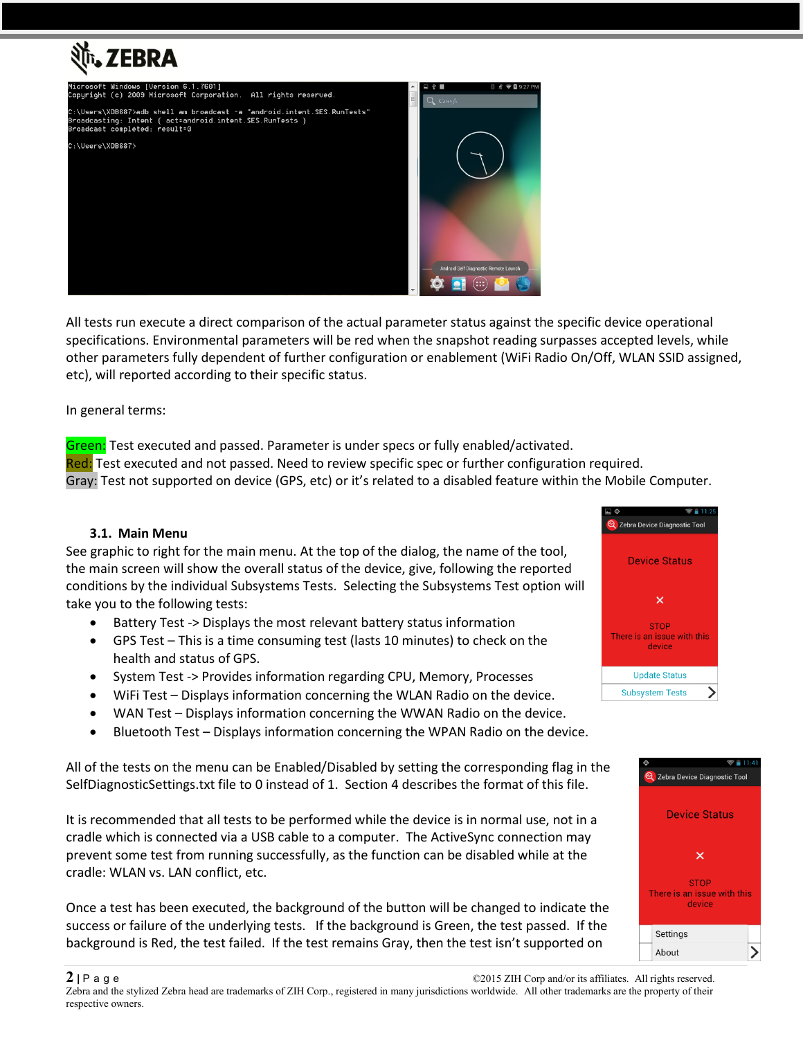

All tests run execute a direct comparison of the actual parameter status against the specific device operational specifications. Environmental parameters will be red when the snapshot reading surpasses accepted levels, while other parameters fully dependent of further configuration or enablement (WiFi Radio On/Off, WLAN SSID assigned, etc), will reported according to their specific status.

In general terms:

Green: Test executed and passed. Parameter is under specs or fully enabled/activated. Red: Test executed and not passed. Need to review specific spec or further configuration required. Gray: Test not supported on device (GPS, etc) or it's related to a disabled feature within the Mobile Computer.

# **3.1. Main Menu**

See graphic to right for the main menu. At the top of the dialog, the name of the tool, the main screen will show the overall status of the device, give, following the reported conditions by the individual Subsystems Tests. Selecting the Subsystems Test option will take you to the following tests:

- Battery Test -> Displays the most relevant battery status information
- GPS Test This is a time consuming test (lasts 10 minutes) to check on the health and status of GPS.
- System Test -> Provides information regarding CPU, Memory, Processes
- WiFi Test Displays information concerning the WLAN Radio on the device.
- WAN Test Displays information concerning the WWAN Radio on the device.
- Bluetooth Test Displays information concerning the WPAN Radio on the device.

All of the tests on the menu can be Enabled/Disabled by setting the corresponding flag in the SelfDiagnosticSettings.txt file to 0 instead of 1. Section 4 describes the format of this file.

It is recommended that all tests to be performed while the device is in normal use, not in a cradle which is connected via a USB cable to a computer. The ActiveSync connection may prevent some test from running successfully, as the function can be disabled while at the cradle: WLAN vs. LAN conflict, etc.

Once a test has been executed, the background of the button will be changed to indicate the success or failure of the underlying tests. If the background is Green, the test passed. If the background is Red, the test failed. If the test remains Gray, then the test isn't supported on



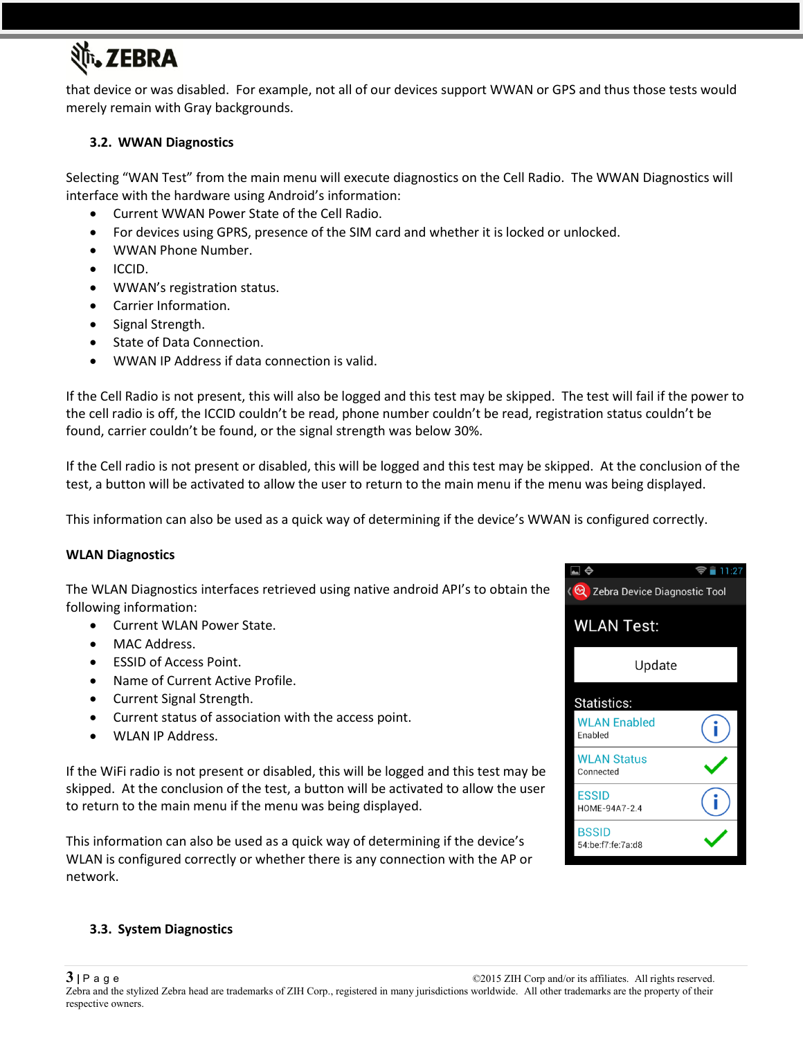# शी. ZEBRA

that device or was disabled. For example, not all of our devices support WWAN or GPS and thus those tests would merely remain with Gray backgrounds.

# **3.2. WWAN Diagnostics**

Selecting "WAN Test" from the main menu will execute diagnostics on the Cell Radio. The WWAN Diagnostics will interface with the hardware using Android's information:

- Current WWAN Power State of the Cell Radio.
- For devices using GPRS, presence of the SIM card and whether it is locked or unlocked.
- WWAN Phone Number.
- $\bullet$  ICCID.
- WWAN's registration status.
- Carrier Information.
- Signal Strength.
- State of Data Connection.
- WWAN IP Address if data connection is valid.

If the Cell Radio is not present, this will also be logged and this test may be skipped. The test will fail if the power to the cell radio is off, the ICCID couldn't be read, phone number couldn't be read, registration status couldn't be found, carrier couldn't be found, or the signal strength was below 30%.

If the Cell radio is not present or disabled, this will be logged and this test may be skipped. At the conclusion of the test, a button will be activated to allow the user to return to the main menu if the menu was being displayed.

This information can also be used as a quick way of determining if the device's WWAN is configured correctly.

#### **WLAN Diagnostics**

The WLAN Diagnostics interfaces retrieved using native android API's to obtain the following information:

- Current WLAN Power State.
- MAC Address.
- ESSID of Access Point.
- Name of Current Active Profile.
- Current Signal Strength.
- Current status of association with the access point.
- WLAN IP Address.

If the WiFi radio is not present or disabled, this will be logged and this test may be skipped. At the conclusion of the test, a button will be activated to allow the user to return to the main menu if the menu was being displayed.

This information can also be used as a quick way of determining if the device's WLAN is configured correctly or whether there is any connection with the AP or network.



# **3.3. System Diagnostics**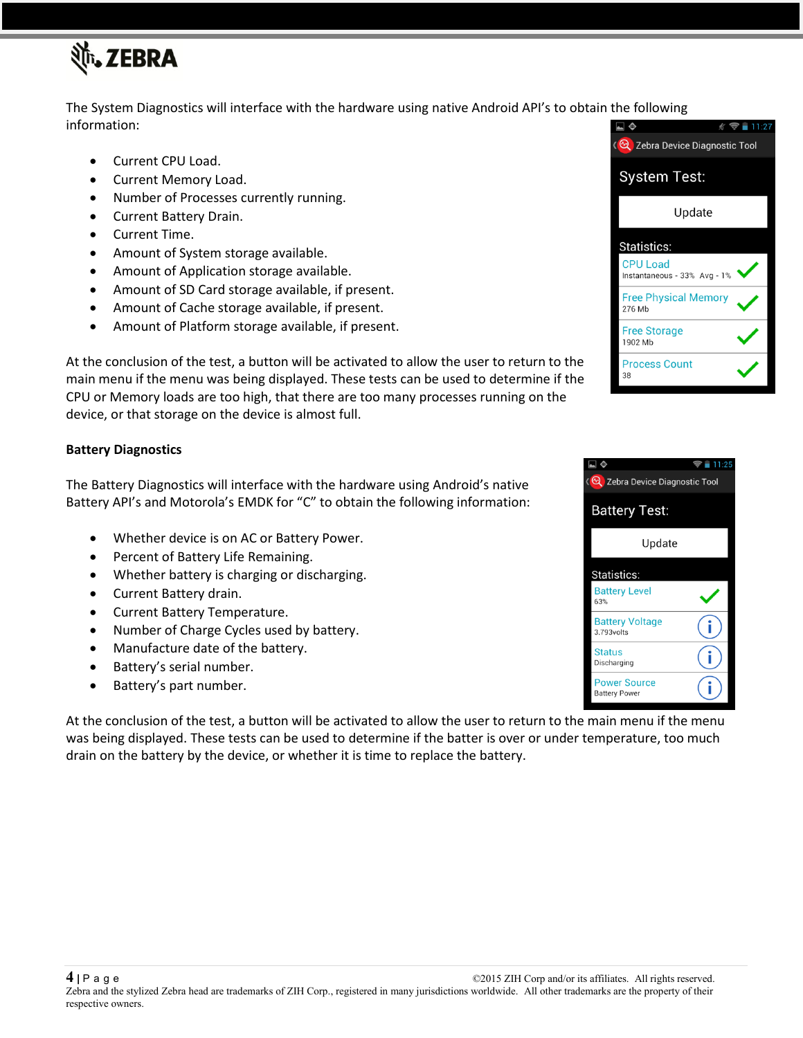

The System Diagnostics will interface with the hardware using native Android API's to obtain the following information:

- Current CPU Load.
- Current Memory Load.
- Number of Processes currently running.
- Current Battery Drain.
- Current Time.
- Amount of System storage available.
- Amount of Application storage available.
- Amount of SD Card storage available, if present.
- Amount of Cache storage available, if present.
- Amount of Platform storage available, if present.

At the conclusion of the test, a button will be activated to allow the user to return to the main menu if the menu was being displayed. These tests can be used to determine if the CPU or Memory loads are too high, that there are too many processes running on the device, or that storage on the device is almost full.

#### **Battery Diagnostics**

The Battery Diagnostics will interface with the hardware using Android's native Battery API's and Motorola's EMDK for "C" to obtain the following information:

- Whether device is on AC or Battery Power.
- Percent of Battery Life Remaining.
- Whether battery is charging or discharging.
- Current Battery drain.
- Current Battery Temperature.
- Number of Charge Cycles used by battery.
- Manufacture date of the battery.
- Battery's serial number.
- Battery's part number.

At the conclusion of the test, a button will be activated to allow the user to return to the main menu if the menu was being displayed. These tests can be used to determine if the batter is over or under temperature, too much drain on the battery by the device, or whether it is time to replace the battery.



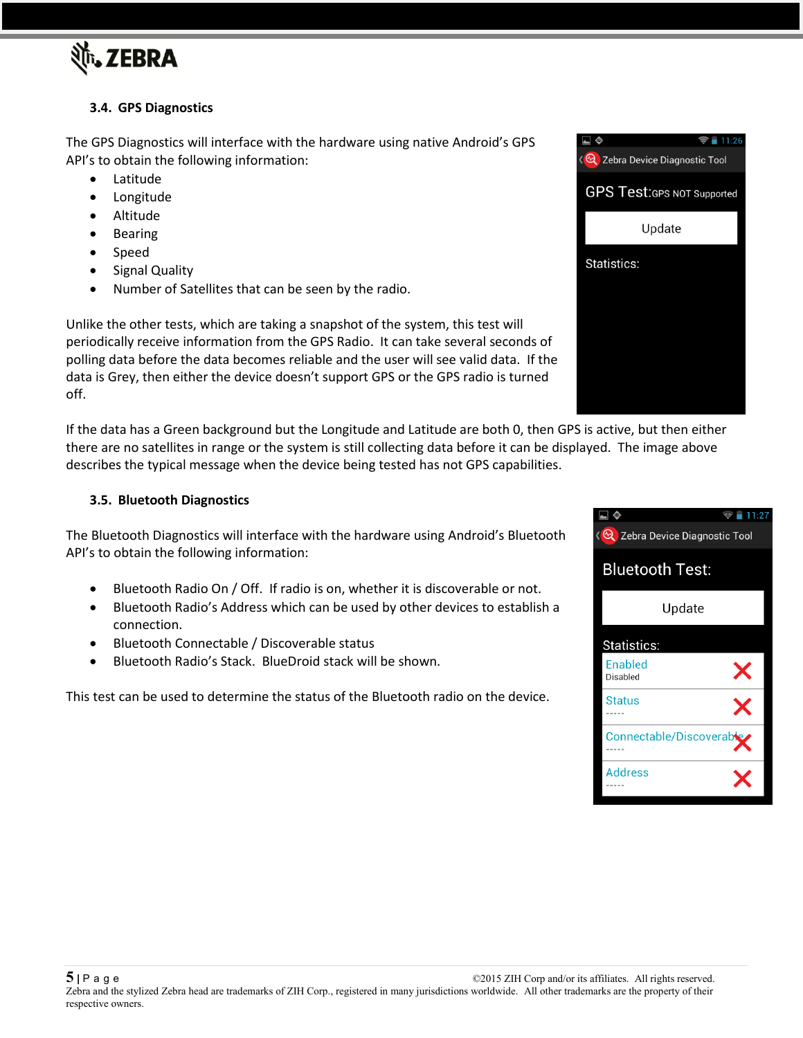

# **3.4. GPS Diagnostics**

The GPS Diagnostics will interface with the hardware using native Android's GPS API's to obtain the following information:

- Latitude
- Longitude
- Altitude
- Bearing
- Speed
- Signal Quality
- Number of Satellites that can be seen by the radio.

Unlike the other tests, which are taking a snapshot of the system, this test will periodically receive information from the GPS Radio. It can take several seconds of polling data before the data becomes reliable and the user will see valid data. If the data is Grey, then either the device doesn't support GPS or the GPS radio is turned off.

If the data has a Green background but the Longitude and Latitude are both 0, then GPS is active, but then either there are no satellites in range or the system is still collecting data before it can be displayed. The image above describes the typical message when the device being tested has not GPS capabilities.

# **3.5. Bluetooth Diagnostics**

The Bluetooth Diagnostics will interface with the hardware using Android's Bluetooth API's to obtain the following information:

- Bluetooth Radio On / Off. If radio is on, whether it is discoverable or not.
- Bluetooth Radio's Address which can be used by other devices to establish a connection.
- Bluetooth Connectable / Discoverable status
- Bluetooth Radio's Stack. BlueDroid stack will be shown.

This test can be used to determine the status of the Bluetooth radio on the device.